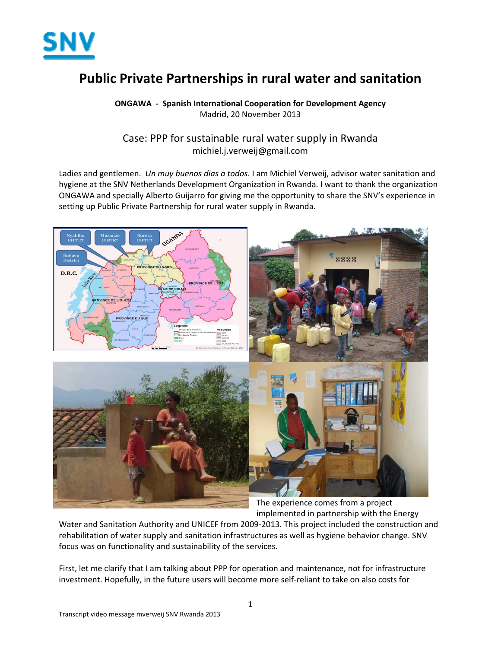

## **Public Private Partnerships in rural water and sanitation**

**ONGAWA ‐ Spanish International Cooperation for Development Agency** Madrid, 20 November 2013

## Case: PPP for sustainable rural water supply in Rwanda michiel.j.verweij@gmail.com

Ladies and gentlemen. *Un muy buenos dias a todos*. I am Michiel Verweij, advisor water sanitation and hygiene at the SNV Netherlands Development Organization in Rwanda. I want to thank the organization ONGAWA and specially Alberto Guijarro for giving me the opportunity to share the SNV's experience in setting up Public Private Partnership for rural water supply in Rwanda.



The experience comes from a project implemented in partnership with the Energy

Water and Sanitation Authority and UNICEF from 2009-2013. This project included the construction and rehabilitation of water supply and sanitation infrastructures as well as hygiene behavior change. SNV focus was on functionality and sustainability of the services.

First, let me clarify that I am talking about PPP for operation and maintenance, not for infrastructure investment. Hopefully, in the future users will become more self-reliant to take on also costs for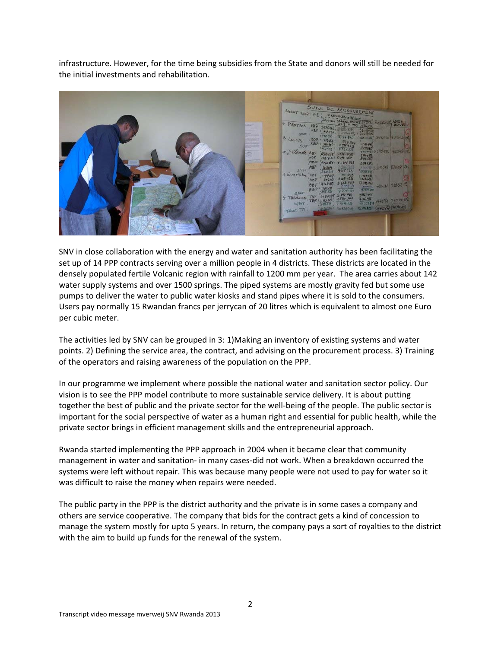infrastructure. However, for the time being subsidies from the State and donors will still be needed for the initial investments and rehabilitation.



SNV in close collaboration with the energy and water and sanitation authority has been facilitating the set up of 14 PPP contracts serving over a million people in 4 districts. These districts are located in the densely populated fertile Volcanic region with rainfall to 1200 mm per year. The area carries about 142 water supply systems and over 1500 springs. The piped systems are mostly gravity fed but some use pumps to deliver the water to public water kiosks and stand pipes where it is sold to the consumers. Users pay normally 15 Rwandan francs per jerrycan of 20 litres which is equivalent to almost one Euro per cubic meter.

The activities led by SNV can be grouped in 3: 1)Making an inventory of existing systems and water points. 2) Defining the service area, the contract, and advising on the procurement process. 3) Training of the operators and raising awareness of the population on the PPP.

In our programme we implement where possible the national water and sanitation sector policy. Our vision is to see the PPP model contribute to more sustainable service delivery. It is about putting together the best of public and the private sector for the well‐being of the people. The public sector is important for the social perspective of water as a human right and essential for public health, while the private sector brings in efficient management skills and the entrepreneurial approach.

Rwanda started implementing the PPP approach in 2004 when it became clear that community management in water and sanitation‐ in many cases‐did not work. When a breakdown occurred the systems were left without repair. This was because many people were not used to pay for water so it was difficult to raise the money when repairs were needed.

The public party in the PPP is the district authority and the private is in some cases a company and others are service cooperative. The company that bids for the contract gets a kind of concession to manage the system mostly for upto 5 years. In return, the company pays a sort of royalties to the district with the aim to build up funds for the renewal of the system.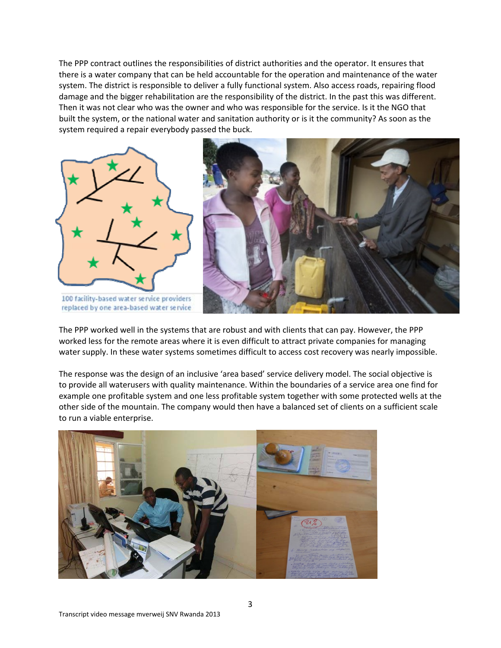The PPP contract outlines the responsibilities of district authorities and the operator. It ensures that there is a water company that can be held accountable for the operation and maintenance of the water system. The district is responsible to deliver a fully functional system. Also access roads, repairing flood damage and the bigger rehabilitation are the responsibility of the district. In the past this was different. Then it was not clear who was the owner and who was responsible for the service. Is it the NGO that built the system, or the national water and sanitation authority or is it the community? As soon as the system required a repair everybody passed the buck.





100 facility-based water service providers replaced by one area-based water service

The PPP worked well in the systems that are robust and with clients that can pay. However, the PPP worked less for the remote areas where it is even difficult to attract private companies for managing water supply. In these water systems sometimes difficult to access cost recovery was nearly impossible.

The response was the design of an inclusive 'area based' service delivery model. The social objective is to provide all waterusers with quality maintenance. Within the boundaries of a service area one find for example one profitable system and one less profitable system together with some protected wells at the other side of the mountain. The company would then have a balanced set of clients on a sufficient scale to run a viable enterprise.

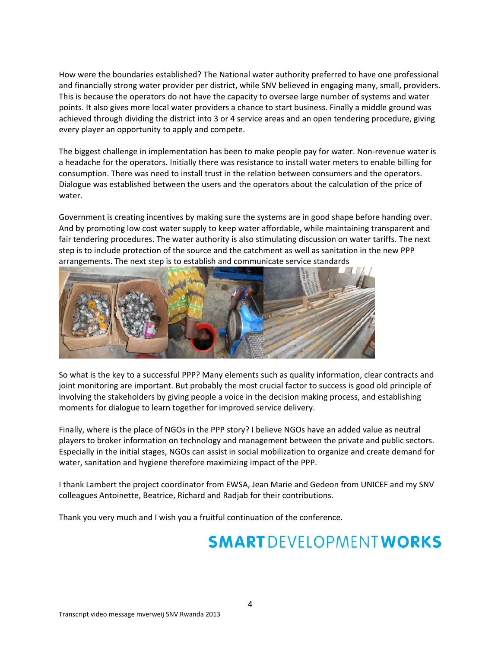How were the boundaries established? The National water authority preferred to have one professional and financially strong water provider per district, while SNV believed in engaging many, small, providers. This is because the operators do not have the capacity to oversee large number of systems and water points. It also gives more local water providers a chance to start business. Finally a middle ground was achieved through dividing the district into 3 or 4 service areas and an open tendering procedure, giving every player an opportunity to apply and compete.

The biggest challenge in implementation has been to make people pay for water. Non‐revenue water is a headache for the operators. Initially there was resistance to install water meters to enable billing for consumption. There was need to install trust in the relation between consumers and the operators. Dialogue was established between the users and the operators about the calculation of the price of water.

Government is creating incentives by making sure the systems are in good shape before handing over. And by promoting low cost water supply to keep water affordable, while maintaining transparent and fair tendering procedures. The water authority is also stimulating discussion on water tariffs. The next step is to include protection of the source and the catchment as well as sanitation in the new PPP arrangements. The next step is to establish and communicate service standards



So what is the key to a successful PPP? Many elements such as quality information, clear contracts and joint monitoring are important. But probably the most crucial factor to success is good old principle of involving the stakeholders by giving people a voice in the decision making process, and establishing moments for dialogue to learn together for improved service delivery.

Finally, where is the place of NGOs in the PPP story? I believe NGOs have an added value as neutral players to broker information on technology and management between the private and public sectors. Especially in the initial stages, NGOs can assist in social mobilization to organize and create demand for water, sanitation and hygiene therefore maximizing impact of the PPP.

I thank Lambert the project coordinator from EWSA, Jean Marie and Gedeon from UNICEF and my SNV colleagues Antoinette, Beatrice, Richard and Radjab for their contributions.

Thank you very much and I wish you a fruitful continuation of the conference.

## **SMART DEVELOPMENT WORKS**